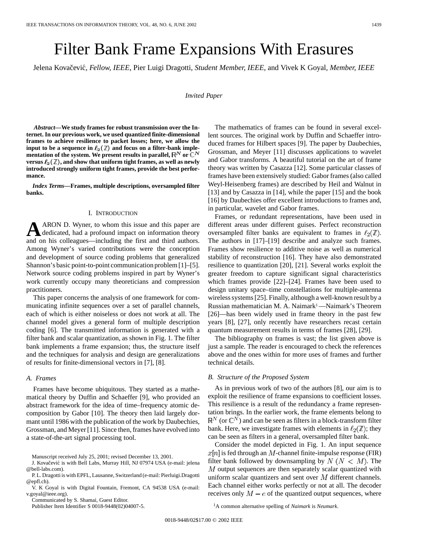# Filter Bank Frame Expansions With Erasures

Jelena Kovačević, Fellow, IEEE, Pier Luigi Dragotti, Student Member, IEEE, and Vivek K Goyal, Member, IEEE

*Invited Paper*

*Abstract—***We study frames for robust transmission over the Internet. In our previous work, we used quantized finite-dimensional frames to achieve resilience to packet losses; here, we allow the** input to be a sequence in  $\ell_2(\mathbb{Z})$  and focus on a filter-bank imple**mentation of the system. We present results in parallel,**  $\mathbb{R}^N$  **or**  $\mathbb{C}^N$ versus  $\ell_2(\mathbb{Z})$ , and show that uniform tight frames, as well as newly **introduced strongly uniform tight frames, provide the best performance.**

*Index Terms—***Frames, multiple descriptions, oversampled filter banks.**

#### I. INTRODUCTION

**A**ARON D. Wyner, to whom this issue and this paper are dedicated, had a profound impact on information theory and on his colleagues—including the first and third authors. Among Wyner's varied contributions were the conception and development of source coding problems that generalized Shannon's basic point-to-point communication problem [1]–[5]. Network source coding problems inspired in part by Wyner's work currently occupy many theoreticians and compression practitioners.

This paper concerns the analysis of one framework for communicating infinite sequences over a set of parallel channels, each of which is either noiseless or does not work at all. The channel model gives a general form of multiple description coding [6]. The transmitted information is generated with a filter bank and scalar quantization, as shown in Fig. 1. The filter bank implements a frame expansion; thus, the structure itself and the techniques for analysis and design are generalizations of results for finite-dimensional vectors in [7], [8].

#### *A. Frames*

Frames have become ubiquitous. They started as a mathematical theory by Duffin and Schaeffer [9], who provided an abstract framework for the idea of time–frequency atomic decomposition by Gabor [10]. The theory then laid largely dormant until 1986 with the publication of the work by Daubechies, Grossman, and Meyer [11]. Since then, frames have evolved into a state-of-the-art signal processing tool.

Communicated by S. Shamai, Guest Editor.

Publisher Item Identifier S 0018-9448(02)04007-5.

The mathematics of frames can be found in several excellent sources. The original work by Duffin and Schaeffer introduced frames for Hilbert spaces [9]. The paper by Daubechies, Grossman, and Meyer [11] discusses applications to wavelet and Gabor transforms. A beautiful tutorial on the art of frame theory was written by Casazza [12]. Some particular classes of frames have been extensively studied: Gabor frames (also called Weyl-Heisenberg frames) are described by Heil and Walnut in [13] and by Casazza in [14], while the paper [15] and the book [16] by Daubechies offer excellent introductions to frames and, in particular, wavelet and Gabor frames.

Frames, or redundant representations, have been used in different areas under different guises. Perfect reconstruction oversampled filter banks are equivalent to frames in  $\ell_2(\mathbb{Z})$ . The authors in [17]–[19] describe and analyze such frames. Frames show resilience to additive noise as well as numerical stability of reconstruction [16]. They have also demonstrated resilience to quantization [20], [21]. Several works exploit the greater freedom to capture significant signal characteristics which frames provide [22]–[24]. Frames have been used to design unitary space–time constellations for multiple-antenna wireless systems [25]. Finally, although a well-known result by a Russian mathematician M. A. Naimark<sup>1</sup>—Naimark's Theorem [26]—has been widely used in frame theory in the past few years [8], [27], only recently have researchers recast certain quantum measurement results in terms of frames [28], [29].

The bibliography on frames is vast; the list given above is just a sample. The reader is encouraged to check the references above and the ones within for more uses of frames and further technical details.

## *B. Structure of the Proposed System*

As in previous work of two of the authors [8], our aim is to exploit the resilience of frame expansions to coefficient losses. This resilience is a result of the redundancy a frame representation brings. In the earlier work, the frame elements belong to  $\mathbb{R}^N$  (or  $\mathbb{C}^N$ ) and can be seen as filters in a block-transform filter bank. Here, we investigate frames with elements in  $\ell_2(\mathbb{Z})$ ; they can be seen as filters in a general, oversampled filter bank.

Consider the model depicted in Fig. 1. An input sequence  $x[n]$  is fed through an M-channel finite-impulse response (FIR) filter bank followed by downsampling by  $N (N < M)$ . The  $M$  output sequences are then separately scalar quantized with uniform scalar quantizers and sent over  $M$  different channels. Each channel either works perfectly or not at all. The decoder receives only  $M - e$  of the quantized output sequences, where

1A common alternative spelling of *Naimark* is *Neumark*.

Manuscript received July 25, 2001; revised December 13, 2001.

J. Kovačević is with Bell Labs, Murray Hill, NJ 07974 USA (e-mail: jelena @bell-labs.com).

P. L. Dragotti is with EPFL, Lausanne, Switzerland (e-mail: Pierluigi.Dragotti @epfl.ch).

V. K Goyal is with Digital Fountain, Fremont, CA 94538 USA (e-mail: v.goyal@ieee.org).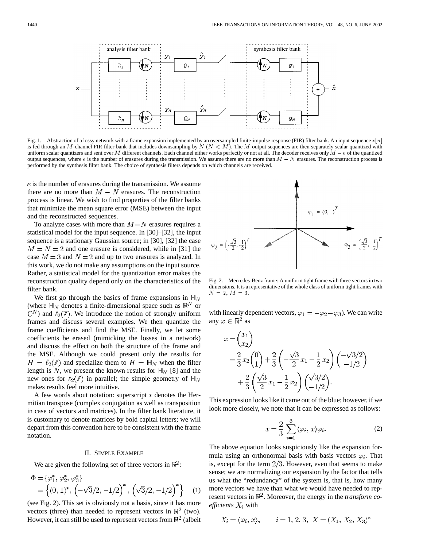

Fig. 1. Abstraction of a lossy network with a frame expansion implemented by an oversampled finite-impulse response (FIR) filter bank. An input sequence  $x[n]$ is fed through an M-channel FIR filter bank that includes downsampling by  $N (N < M)$ . The M output sequences are then separately scalar quantized with Fig. 1. Abstraction of a lossy network with a frame expansion implemented by an oversampled finite-impulse response (FIR) filter bank. An input sequence  $x[n]$  is fed through an M-channel FIR filter bank that includes down Fig. 1. Abstraction of a lossy network with a frame expansion implemented by an oversampled finite-impulse response (FIR) filter bank. An input sequence  $x[n]$  is fed through an M-channel FIR filter bank that includes down performed by the synthesis filter bank. The choice of synthesis filters depends on which channels are received.

 $e$  is the number of erasures during the transmission. We assume there are no more than  $M - N$  erasures. The reconstruction process is linear. We wish to find properties of the filter banks that minimize the mean square error (MSE) between the input and the reconstructed sequences.

To analyze cases with more than  $M-N$  erasures requires a statistical model for the input sequence. In [30]–[32], the input sequence is a stationary Gaussian source; in [30], [32] the case  $M = N = 2$  and one erasure is considered, while in [31] the case  $M = 3$  and  $N = 2$  and up to two erasures is analyzed. In this work, we do not make any assumptions on the input source. Rather, a statistical model for the quantization error makes the reconstruction quality depend only on the characteristics of the filter bank.

We first go through the basics of frame expansions in  $H_N$ (where  $H_N$  denotes a finite-dimensional space such as  $\mathbb{R}^N$  or  $\mathbb{C}^N$ ) and  $\ell_2(\mathbb{Z})$ . We introduce the notion of strongly uniform frames and discuss several examples. We then quantize the frame coefficients and find the MSE. Finally, we let some coefficients be erased (mimicking the losses in a network) and discuss the effect on both the structure of the frame and the MSE. Although we could present only the results for  $H = \ell_2(\mathbb{Z})$  and specialize them to  $H = \mathbb{H}_N$  when the filter length is N, we present the known results for  $H_N$  [8] and the new ones for  $\ell_2(\mathbb{Z})$  in parallel; the simple geometry of  $\mathbb{H}_N$ makes results feel more intuitive.

A few words about notation: superscript  $*$  denotes the Hermitian transpose (complex conjugation as well as transposition in case of vectors and matrices). In the filter bank literature, it is customary to denote matrices by bold capital letters; we will depart from this convention here to be consistent with the frame notation.

## II. SIMPLE EXAMPLE

We are given the following set of three vectors in  $\mathbb{R}^2$ .

$$
\Phi = {\varphi_1^*, \varphi_2^*, \varphi_3^*}
$$
  
= { (0, 1)^\*, ( -\sqrt{3}/2, -1/2)^\*, ( \sqrt{3}/2, -1/2)^\* } (1)

(see Fig. 2). This set is obviously not a basis, since it has more vectors (three) than needed to represent vectors in  $\mathbb{R}^2$  (two). However, it can still be used to represent vectors from  $\mathbb{R}^2$  (albeit



Fig. 2. Mercedes-Benz frame: A uniform tight frame with three vectors in two dimensions. It is a representative of the whole class of uniform tight frames with  $N = 2, M = 3.$ 

with linearly dependent vectors,  $\varphi_1 = -\varphi_2 - \varphi_3$ . We can write any  $x \in \mathbb{R}^2$  as

$$
x = \begin{pmatrix} x_1 \\ x_2 \end{pmatrix}
$$
  
=  $\frac{2}{3}x_2 \begin{pmatrix} 0 \\ 1 \end{pmatrix} + \frac{2}{3} \left( -\frac{\sqrt{3}}{2}x_1 - \frac{1}{2}x_2 \right) \left( -\frac{\sqrt{3}}{2} \right)$   
+  $\frac{2}{3} \left( \frac{\sqrt{3}}{2}x_1 - \frac{1}{2}x_2 \right) \left( \frac{\sqrt{3}}{2} \right).$ 

This expression looks like it came out of the blue; however, if we look more closely, we note that it can be expressed as follows:

$$
x = \frac{2}{3} \sum_{i=1}^{3} \langle \varphi_i, x \rangle \varphi_i.
$$
 (2)

The above equation looks suspiciously like the expansion formula using an orthonormal basis with basis vectors  $\varphi_i$ . That is, except for the term  $2/3$ . However, even that seems to make sense; we are normalizing our expansion by the factor that tells us what the "redundancy" of the system is, that is, how many more vectors we have than what we would have needed to represent vectors in  $\mathbb{R}^2$ . Moreover, the energy in the *transform coefficients*  $X_i$  with

$$
X_i = \langle \varphi_i, x \rangle
$$
,  $i = 1, 2, 3, X = (X_1, X_2, X_3)^*$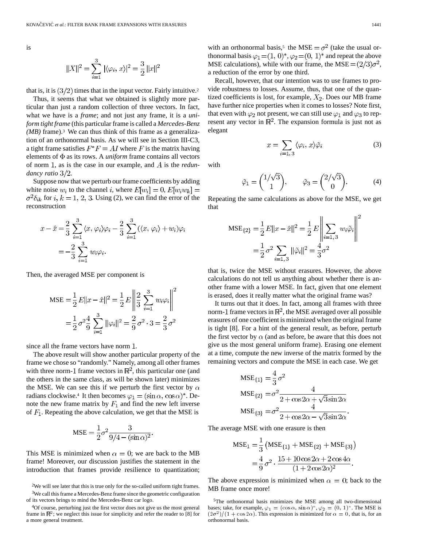is

$$
||X||^2 = \sum_{i=1}^3 |\langle \varphi_i, x \rangle|^2 = \frac{3}{2} ||x||^2
$$

that is, it is  $(3/2)$  times that in the input vector. Fairly intuitive.<sup>2</sup>

Thus, it seems that what we obtained is slightly more particular than just a random collection of three vectors. In fact, what we have is a *frame*; and not just any frame, it is a *uniform tight frame* (this particular frame is called a *Mercedes-Benz (MB)* frame).3 We can thus think of this frame as a generalization of an orthonormal basis. As we will see in Section III-C3, a tight frame satisfies  $F^*F = AI$  where F is the matrix having elements of  $\Phi$  as its rows. A *uniform* frame contains all vectors of norm 1, as is the case in our example, and A is the *redundancy ratio*  $3/2$ .

Suppose now that we perturb our frame coefficients by adding white noise  $w_i$  to the channel i, where  $E[w_i] = 0, E[w_i w_k] =$  $\sigma^2 \delta_{ik}$  for i,  $k = 1, 2, 3$ . Using (2), we can find the error of the reconstruction

$$
x - \hat{x} = \frac{2}{3} \sum_{i=1}^{3} \langle x, \varphi_i \rangle \varphi_i - \frac{2}{3} \sum_{i=1}^{3} (\langle x, \varphi_i \rangle + w_i) \varphi_i
$$
  
=  $-\frac{2}{3} \sum_{i=1}^{3} w_i \varphi_i.$ 

Then, the averaged MSE per component is

$$
\text{MSE} = \frac{1}{2} E ||x - \hat{x}||^2 = \frac{1}{2} E \left\| \frac{2}{3} \sum_{i=1}^3 w_i \varphi_i \right\|^2
$$

$$
= \frac{1}{2} \sigma^2 \frac{4}{9} \sum_{i=1}^3 ||\varphi_i||^2 = \frac{2}{9} \sigma^2 \cdot 3 = \frac{2}{3} \sigma^2
$$

since all the frame vectors have norm 1.

The above result will show another particular property of the frame we chose so "randomly." Namely, among all other frames with three norm-1 frame vectors in  $\mathbb{R}^2$ , this particular one (and the others in the same class, as will be shown later) minimizes the MSE. We can see this if we perturb the first vector by  $\alpha$ radians clockwise.<sup>4</sup> It then becomes  $\varphi_1 = (\sin \alpha, \cos \alpha)^*$ . Denote the new frame matrix by  $F_1$  and find the new left inverse of  $F_1$ . Repeating the above calculation, we get that the MSE is

$$
MSE = \frac{1}{2}\sigma^2 \frac{3}{9/4 - (\sin \alpha)^2}.
$$

This MSE is minimized when  $\alpha = 0$ ; we are back to the MB frame! Moreover, our discussion justifies the statement in the introduction that frames provide resilience to quantization;

Recall, however, that our intention was to use frames to provide robustness to losses. Assume, thus, that one of the quantized coefficients is lost, for example,  $X_2$ . Does our MB frame have further nice properties when it comes to losses? Note first, that even with  $\varphi_2$  not present, we can still use  $\varphi_1$  and  $\varphi_3$  to represent any vector in  $\mathbb{R}^2$ . The expansion formula is just not as elegant

 $x = \sum_{i=1,3} \langle \varphi_i, x \rangle \tilde{\varphi}_i$ 

with

$$
\tilde{\varphi}_1 = \begin{pmatrix} 1/\sqrt{3} \\ 1 \end{pmatrix}, \qquad \tilde{\varphi}_3 = \begin{pmatrix} 2/\sqrt{3} \\ 0 \end{pmatrix}.
$$
 (4)

Repeating the same calculations as above for the MSE, we get that

$$
MSE_{\{2\}} = \frac{1}{2} E ||x - \hat{x}||^2 = \frac{1}{2} E \left\| \sum_{i=1,3} w_i \tilde{\varphi}_i \right\|^2
$$

$$
= \frac{1}{2} \sigma^2 \sum_{i=1,3} ||\tilde{\varphi}_i||^2 = \frac{4}{3} \sigma^2
$$

that is, twice the MSE without erasures. However, the above calculations do not tell us anything about whether there is another frame with a lower MSE. In fact, given that one element is erased, does it really matter what the original frame was?

It turns out that it does. In fact, among all frames with three norm-1 frame vectors in  $\mathbb{R}^2$ , the MSE averaged over all possible erasures of one coefficient is minimized when the original frame is tight [8]. For a hint of the general result, as before, perturb the first vector by  $\alpha$  (and as before, be aware that this does not give us the most general uniform frame). Erasing one element at a time, compute the new inverse of the matrix formed by the remaining vectors and compute the MSE in each case. We get

$$
MSE_{\{1\}} = \frac{4}{3}\sigma^2
$$
  
\n
$$
MSE_{\{2\}} = \sigma^2 \frac{4}{2 + \cos 2\alpha + \sqrt{3}\sin 2\alpha}
$$
  
\n
$$
MSE_{\{3\}} = \sigma^2 \frac{4}{2 + \cos 2\alpha - \sqrt{3}\sin 2\alpha}.
$$

The average MSE with one erasure is then

$$
MSE_1 = \frac{1}{3} (MSE_{\{1\}} + MSE_{\{2\}} + MSE_{\{3\}})
$$
  
=  $\frac{4}{9} \sigma^2 \cdot \frac{15 + 10 \cos 2\alpha + 2 \cos 4\alpha}{(1 + 2 \cos 2\alpha)^2}.$ 

The above expression is minimized when  $\alpha = 0$ ; back to the MB frame once more!

(3)

<sup>2</sup>We will see later that this is true only for the so-called uniform tight frames. 3We call this frame a Mercedes-Benz frame since the geometric configuration of its vectors brings to mind the Mercedes-Benz car logo.

<sup>4</sup>Of course, perturbing just the first vector does not give us the most general frame in  $\mathbb{R}^2$ ; we neglect this issue for simplicity and refer the reader to [8] for a more general treatment.

<sup>5</sup>The orthonormal basis minimizes the MSE among all two-dimensional bases; take, for example,  $\varphi_1 = (\cos \alpha, \sin \alpha)^*, \varphi_2 = (0, 1)^*$ . The MSE is  $(2\sigma^2)/(1 + \cos 2\alpha)$ . This expression is minimized for  $\alpha = 0$ , that is, for an orthonormal basis.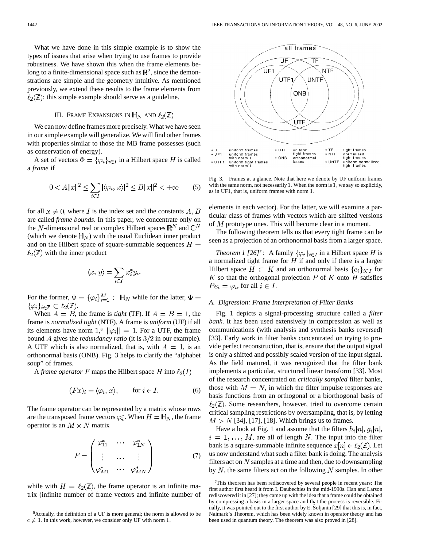What we have done in this simple example is to show the types of issues that arise when trying to use frames to provide robustness. We have shown this when the frame elements belong to a finite-dimensional space such as  $\mathbb{R}^2$ , since the demonstrations are simple and the geometry intuitive. As mentioned previously, we extend these results to the frame elements from  $\ell_2(\mathbb{Z})$ ; this simple example should serve as a guideline.

# III. FRAME EXPANSIONS IN  $H_N$  AND  $\ell_2(\mathbb{Z})$

We can now define frames more precisely. What we have seen in our simple example will generalize. We will find other frames with properties similar to those the MB frame possesses (such as conservation of energy).

A set of vectors  $\Phi = {\varphi_i}_{i \in I}$  in a Hilbert space H is called a *frame* if

$$
0 < A||x||^{2} \le \sum_{i \in I} |\langle \varphi_{i}, x \rangle|^{2} \le B||x||^{2} < +\infty
$$
 (5)

for all  $x \neq 0$ , where I is the index set and the constants A, B are called *frame bounds*. In this paper, we concentrate only on the N-dimensional real or complex Hilbert spaces  $\mathbb{R}^N$  and  $\mathbb{C}^N$ (which we denote  $H_N$ ) with the usual Euclidean inner product and on the Hilbert space of square-summable sequences  $H =$  $\ell_2(\mathbb{Z})$  with the inner product

$$
\langle x, y \rangle = \sum_{i \in I} x_i^* y_i.
$$

For the former,  $\Phi = {\{\varphi_i\}}_{i=1}^M \subset \mathbb{H}_N$  while for the latter,  $\Phi =$  $\{\varphi_i\}_{i\in\mathbb{Z}}\subset\ell_2(\mathbb{Z}).$ 

When  $A = B$ , the frame is *tight* (TF). If  $A = B = 1$ , the frame is *normalized tight* (NTF). A frame is *uniform* (UF) if all its elements have norm 1,<sup>6</sup>  $\|\varphi_i\| = 1$ . For a UTF, the frame bound A gives the *redundancy ratio* (it is  $3/2$  in our example). A UTF which is also normalized, that is, with  $A = 1$ , is an orthonormal basis (ONB). Fig. 3 helps to clarify the "alphabet soup" of frames.

A *frame operator* F maps the Hilbert space H into  $\ell_2(I)$ 

$$
(Fx)_i = \langle \varphi_i, x \rangle, \qquad \text{for } i \in I.
$$
 (6)

The frame operator can be represented by a matrix whose rows are the transposed frame vectors  $\varphi_i^*$ . When  $H = \mathbb{H}_N$ , the frame operator is an  $M \times N$  matrix

$$
F = \begin{pmatrix} \varphi_{11}^* & \cdots & \varphi_{1N}^* \\ \vdots & \cdots & \vdots \\ \varphi_{M1}^* & \cdots & \varphi_{MN}^* \end{pmatrix}
$$
 (7)

while with  $H = \ell_2(\mathbb{Z})$ , the frame operator is an infinite matrix (infinite number of frame vectors and infinite number of



Fig. 3. Frames at a glance. Note that here we denote by UF uniform frames with the same norm, not necessarily 1. When the norm is 1, we say so explicitly, as in UF1, that is, uniform frames with norm 1.

elements in each vector). For the latter, we will examine a particular class of frames with vectors which are shifted versions of  $M$  prototype ones. This will become clear in a moment.

The following theorem tells us that every tight frame can be seen as a projection of an orthonormal basis from a larger space.

*Theorem 1 [26]<sup>7</sup> :* A family  $\{\varphi_i\}_{i \in I}$  in a Hilbert space H is a normalized tight frame for  $H$  if and only if there is a larger Hilbert space  $H \subset K$  and an orthonormal basis  $\{e_i\}_{i \in I}$  for  $K$  so that the orthogonal projection  $P$  of  $K$  onto  $H$  satisfies  $Pe_i = \varphi_i$ , for all  $i \in I$ .

#### *A. Digression: Frame Interpretation of Filter Banks*

Fig. 1 depicts a signal-processing structure called a *filter bank*. It has been used extensively in compression as well as communications (with analysis and synthesis banks reversed) [33]. Early work in filter banks concentrated on trying to provide perfect reconstruction, that is, ensure that the output signal is only a shifted and possibly scaled version of the input signal. As the field matured, it was recognized that the filter bank implements a particular, structured linear transform [33]. Most of the research concentrated on *critically sampled* filter banks, those with  $M = N$ , in which the filter impulse responses are basis functions from an orthogonal or a biorthogonal basis of  $\ell_2(\mathbb{Z})$ . Some researchers, however, tried to overcome certain critical sampling restrictions by oversampling, that is, by letting  $M > N$  [34], [17], [18]. Which brings us to frames.

Have a look at Fig. 1 and assume that the filters  $h_i[n], g_i[n]$ ,  $i = 1, \ldots, M$ , are all of length N. The input into the filter bank is a square-summable infinite sequence  $x[n] \in \ell_2(\mathbb{Z})$ . Let us now understand what such a filter bank is doing. The analysis filters act on  $N$  samples at a time and then, due to downsampling by  $N$ , the same filters act on the following  $N$  samples. In other

<sup>&</sup>lt;sup>6</sup>Actually, the definition of a UF is more general; the norm is allowed to be  $c \neq 1$ . In this work, however, we consider only UF with norm 1.

<sup>7</sup>This theorem has been rediscovered by several people in recent years: The first author first heard it from I. Daubechies in the mid-1990s. Han and Larson rediscovered it in [27]; they came up with the idea that a frame could be obtained by compressing a basis in a larger space and that the process is reversible. Finally, it was pointed out to the first author by E. Soljanin [29] that this is, in fact, Naimark's Theorem, which has been widely known in operator theory and has been used in quantum theory. The theorem was also proved in [28].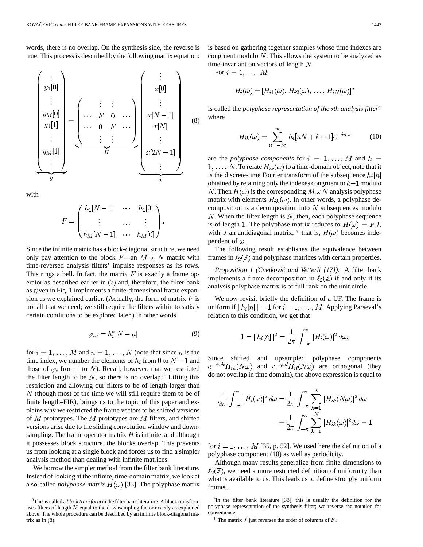words, there is no overlap. On the synthesis side, the reverse is true. This process is described by the following matrix equation:

$$
\begin{pmatrix}\n\vdots \\
y_1[0] \\
\vdots \\
y_M[0] \\
y_1[1] \\
\vdots \\
y_M[1]\n\end{pmatrix} = \begin{pmatrix}\n\vdots & \vdots & \vdots \\
\cdots & F & 0 & \cdots \\
\cdots & 0 & F & \cdots \\
\vdots & \vdots & \vdots & \vdots \\
\cdots & 0 & F & \cdots \\
\vdots & \vdots & \vdots & \vdots \\
\cdots & \cdots & \cdots & \vdots \\
\cdots & \cdots & \cdots & \cdots \\
\vdots & \vdots & \ddots & \vdots \\
\cdots & \cdots & \cdots & \cdots \\
\vdots & \vdots & \ddots & \vdots \\
x[2N-1] \\
\vdots & \vdots & \ddots & \vdots \\
x[2N-1] \\
\vdots & \vdots & \ddots & \vdots \\
\cdots & \cdots & \cdots & \cdots\n\end{pmatrix}
$$
\n(8)

with

$$
F = \begin{pmatrix} h_1[N-1] & \cdots & h_1[0] \\ \vdots & \cdots & \vdots \\ h_M[N-1] & \cdots & h_M[0] \end{pmatrix}.
$$

Since the infinite matrix has a block-diagonal structure, we need only pay attention to the block  $F$ —an  $M \times N$  matrix with time-reversed analysis filters' impulse responses as its rows. This rings a bell. In fact, the matrix  $F$  is exactly a frame operator as described earlier in (7) and, therefore, the filter bank as given in Fig. 1 implements a finite-dimensional frame expansion as we explained earlier. (Actually, the form of matrix  $F$  is not all that we need; we still require the filters within to satisfy certain conditions to be explored later.) In other words

$$
\varphi_{in} = h_i^*[N - n] \tag{9}
$$

for  $i = 1, ..., M$  and  $n = 1, ..., N$  (note that since n is the time index, we number the elements of  $h_i$  from 0 to  $N-1$  and those of  $\varphi_i$  from 1 to N). Recall, however, that we restricted the filter length to be  $N$ , so there is no overlap.<sup>8</sup> Lifting this restriction and allowing our filters to be of length larger than  $N$  (though most of the time we will still require them to be of finite length–FIR), brings us to the topic of this paper and explains why we restricted the frame vectors to be shifted versions of  $M$  prototypes. The  $M$  prototypes are  $M$  filters, and shifted versions arise due to the sliding convolution window and downsampling. The frame operator matrix  $H$  is infinite, and although it possesses block structure, the blocks overlap. This prevents us from looking at a single block and forces us to find a simpler analysis method than dealing with infinite matrices.

We borrow the simpler method from the filter bank literature. Instead of looking at the infinite, time-domain matrix, we look at a so-called *polyphase matrix*  $H(\omega)$  [33]. The polyphase matrix is based on gathering together samples whose time indexes are congruent modulo  $N$ . This allows the system to be analyzed as time-invariant on vectors of length  $N$ .

For 
$$
i = 1, \ldots, M
$$

$$
H_i(\omega) = [H_{i1}(\omega), H_{i2}(\omega), \ldots, H_{iN}(\omega)]^*
$$

is called the *polyphase representation of the th analysis filter*<sup>9</sup> where

$$
H_{ik}(\omega) = \sum_{n=-\infty}^{\infty} h_i[nN + k - 1]e^{-jn\omega}
$$
 (10)

are the *polyphase components* for  $i = 1, ..., M$  and  $k =$  $1, \ldots, N$ . To relate  $H_{ik}(\omega)$  to a time-domain object, note that it is the discrete-time Fourier transform of the subsequence  $h_i[n]$ obtained by retaining only the indexes congruent to  $k-1$  modulo N. Then  $H(\omega)$  is the corresponding  $M \times N$  analysis polyphase matrix with elements  $H_{ik}(\omega)$ . In other words, a polyphase decomposition is a decomposition into  $N$  subsequences modulo N. When the filter length is  $N$ , then, each polyphase sequence is of length 1. The polyphase matrix reduces to  $H(\omega) = FJ$ , with J an antidiagonal matrix;<sup>10</sup> that is,  $H(\omega)$  becomes independent of  $\omega$ .

The following result establishes the equivalence between frames in  $\ell_2(\mathbb{Z})$  and polyphase matrices with certain properties.

*Proposition 1 (Cvetkovic´ and Vetterli [17]):* A filter bank implements a frame decomposition in  $\ell_2(\mathbb{Z})$  if and only if its analysis polyphase matrix is of full rank on the unit circle.

We now revisit briefly the definition of a UF. The frame is uniform if  $||h_i[n]|| = 1$  for  $i = 1, ..., M$ . Applying Parseval's relation to this condition, we get that

$$
1 = ||h_i[n]||^2 = \frac{1}{2\pi} \int_{-\pi}^{\pi} |H_i(\omega)|^2 d\omega.
$$

Since shifted and upsampled polyphase components  $e^{-j\omega k}H_{ik}(N\omega)$  and  $e^{-j\omega l}H_{il}(N\omega)$  are orthogonal (they do not overlap in time domain), the above expression is equal to

$$
\frac{1}{2\pi} \int_{-\pi}^{\pi} |H_i(\omega)|^2 d\omega = \frac{1}{2\pi} \int_{-\pi}^{\pi} \sum_{k=1}^{N} |H_{ik}(N\omega)|^2 d\omega
$$

$$
= \frac{1}{2\pi} \int_{-\pi}^{\pi} \sum_{k=1}^{N} |H_{ik}(\omega)|^2 d\omega = 1
$$

for  $i = 1, \ldots, M$  [35, p. 52]. We used here the definition of a polyphase component (10) as well as periodicity.

Although many results generalize from finite dimensions to  $\ell_2(\mathbb{Z})$ , we need a more restricted definition of uniformity than what is available to us. This leads us to define strongly uniform frames.

<sup>8</sup>This is called a *block transform* in the filter bank literature. A block transform uses filters of length  $N$  equal to the downsampling factor exactly as explained above. The whole procedure can be described by an infinite block-diagonal matrix as in (8).

<sup>9</sup>In the filter bank literature [33], this is usually the definition for the polyphase representation of the synthesis filter; we reverse the notation for convenience.

<sup>&</sup>lt;sup>10</sup>The matrix  $J$  just reverses the order of columns of  $F$ .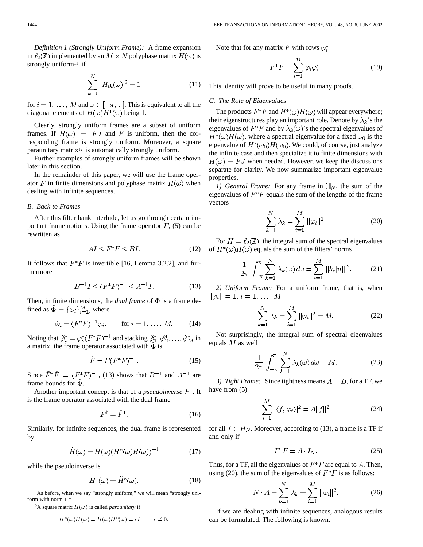*Definition 1 (Strongly Uniform Frame):* A frame expansion in  $\ell_2(\mathbb{Z})$  implemented by an  $M \times N$  polyphase matrix  $H(\omega)$  is strongly uniform<sup>11</sup> if

$$
\sum_{k=1}^{N} |H_{ik}(\omega)|^2 = 1
$$
 (11)

for  $i = 1, \ldots, M$  and  $\omega \in [-\pi, \pi]$ . This is equivalent to all the diagonal elements of  $H(\omega)H^*(\omega)$  being 1.

Clearly, strongly uniform frames are a subset of uniform frames. If  $H(\omega) = FJ$  and F is uniform, then the corresponding frame is strongly uniform. Moreover, a square paraunitary matrix12 is automatically strongly uniform.

Further examples of strongly uniform frames will be shown later in this section.

In the remainder of this paper, we will use the frame operator F in finite dimensions and polyphase matrix  $H(\omega)$  when dealing with infinite sequences.

## *B. Back to Frames*

After this filter bank interlude, let us go through certain important frame notions. Using the frame operator  $F$ , (5) can be rewritten as

$$
AI \le F^*F \le BI. \tag{12}
$$

It follows that  $F^*F$  is invertible [16, Lemma 3.2.2], and furthermore

$$
B^{-1}I \le (F^*F)^{-1} \le A^{-1}I. \tag{13}
$$

Then, in finite dimensions, the *dual frame* of  $\Phi$  is a frame defined as  $\tilde{\Phi} = {\{\tilde{\varphi}_i\}}_{i=1}^M$ , where

$$
\tilde{\varphi}_i = (F^*F)^{-1}\varphi_i, \qquad \text{for } i = 1, \dots, M. \tag{14}
$$

Noting that  $\tilde{\varphi}_i^* = \varphi_i^*(F^*F)^{-1}$  and stacking  $\tilde{\varphi}_1^*, \tilde{\varphi}_2^*, \ldots, \tilde{\varphi}_M^*$  in a matrix, the frame operator associated with  $\tilde{\Phi}$  is

$$
\tilde{F} = F(F^*F)^{-1}.
$$
\n<sup>(15)</sup>

Since  $\tilde{F}^* \tilde{F} = (F^* F)^{-1}$ , (13) shows that  $B^{-1}$  and  $A^{-1}$  are frame bounds for  $\tilde{\Phi}$ .

Another important concept is that of a *pseudoinverse*  $F^{\dagger}$ . It is the frame operator associated with the dual frame

$$
F^{\dagger} = \tilde{F}^*.
$$
 (16)

Similarly, for infinite sequences, the dual frame is represented by

$$
\tilde{H}(\omega) = H(\omega)(H^*(\omega)H(\omega))^{-1}
$$
\n(17)

while the pseudoinverse is

$$
H^{\dagger}(\omega) = \tilde{H}^*(\omega). \tag{18}
$$

11As before, when we say "strongly uniform," we will mean "strongly uniform with norm 1.

<sup>12</sup>A square matrix  $H(\omega)$  is called *paraunitary* if

$$
H^*(\omega)H(\omega) = H(\omega)H^*(\omega) = cI, \qquad c \neq 0.
$$

Note that for any matrix F with rows  $\varphi_i^*$ 

$$
F^*F = \sum_{i=1}^M \varphi_i \varphi_i^*.
$$
 (19)

This identity will prove to be useful in many proofs.

## *C. The Role of Eigenvalues*

The products  $F^*F$  and  $H^*(\omega)H(\omega)$  will appear everywhere; their eigenstructures play an important role. Denote by  $\lambda_k$ 's the eigenvalues of  $F^*F$  and by  $\lambda_k(\omega)$ 's the spectral eigenvalues of  $H^*(\omega)H(\omega)$ , where a spectral eigenvalue for a fixed  $\omega_0$  is the eigenvalue of  $H^*(\omega_0)H(\omega_0)$ . We could, of course, just analyze the infinite case and then specialize it to finite dimensions with  $H(\omega) = FJ$  when needed. However, we keep the discussions separate for clarity. We now summarize important eigenvalue properties.

*1)* General Frame: For any frame in  $\mathbb{H}_N$ , the sum of the eigenvalues of  $F^*F$  equals the sum of the lengths of the frame vectors

$$
\sum_{k=1}^{N} \lambda_k = \sum_{i=1}^{M} ||\varphi_i||^2.
$$
 (20)

For  $H = \ell_2(\mathbb{Z})$ , the integral sum of the spectral eigenvalues of  $H^*(\omega)H(\omega)$  equals the sum of the filters' norms

$$
\frac{1}{2\pi} \int_{-\pi}^{\pi} \sum_{k=1}^{N} \lambda_k(\omega) d\omega = \sum_{i=1}^{M} ||h_i[n]||^2.
$$
 (21)

*2) Uniform Frame:* For a uniform frame, that is, when  $\|\varphi_i\|=1, i=1,\ldots,M$ 

$$
\sum_{k=1}^{N} \lambda_k = \sum_{i=1}^{M} ||\varphi_i||^2 = M.
$$
 (22)

Not surprisingly, the integral sum of spectral eigenvalues equals  $M$  as well

$$
\frac{1}{2\pi} \int_{-\pi}^{\pi} \sum_{k=1}^{N} \lambda_k(\omega) d\omega = M.
$$
 (23)

*3) Tight Frame:* Since tightness means  $A = B$ , for a TF, we have from (5)

$$
\sum_{i=1}^{M} |\langle f, \varphi_i \rangle|^2 = A ||f||^2 \tag{24}
$$

for all  $f \in H_N$ . Moreover, according to (13), a frame is a TF if and only if

$$
F^*F = A \cdot I_N. \tag{25}
$$

Thus, for a TF, all the eigenvalues of  $F^*F$  are equal to A. Then, using (20), the sum of the eigenvalues of  $F^*F$  is as follows:

$$
N \cdot A = \sum_{k=1}^{N} \lambda_k = \sum_{i=1}^{M} ||\varphi_i||^2.
$$
 (26)

If we are dealing with infinite sequences, analogous results can be formulated. The following is known.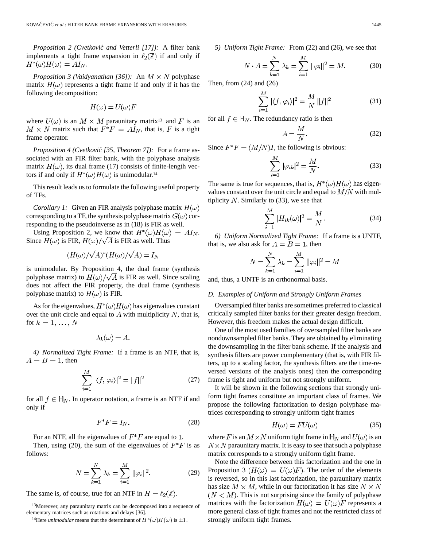*Proposition 2 (Cvetkovic´ and Vetterli [17]):* A filter bank implements a tight frame expansion in  $\ell_2(\mathbb{Z})$  if and only if  $H^*(\omega)H(\omega)=AI_N.$ 

*Proposition 3 (Vaidyanathan [36]):* An  $M \times N$  polyphase matrix  $H(\omega)$  represents a tight frame if and only if it has the following decomposition:

$$
H(\omega) = U(\omega)F
$$

where  $U(\omega)$  is an  $M \times M$  paraunitary matrix<sup>13</sup> and F is an  $M \times N$  matrix such that  $F^*F = A I_N$ , that is, F is a tight frame operator.

*Proposition 4 (Cvetković [35, Theorem 7]):* For a frame associated with an FIR filter bank, with the polyphase analysis matrix  $H(\omega)$ , its dual frame (17) consists of finite-length vectors if and only if  $H^*(\omega)H(\omega)$  is unimodular.<sup>14</sup>

This result leads us to formulate the following useful property of TFs.

*Corollary 1:* Given an FIR analysis polyphase matrix  $H(\omega)$ corresponding to a TF, the synthesis polyphase matrix  $G(\omega)$  corresponding to the pseudoinverse as in (18) is FIR as well.

Using Proposition 2, we know that  $H^*(\omega)H(\omega) = AI_N$ . Since  $H(\omega)$  is FIR,  $H(\omega)/\sqrt{A}$  is FIR as well. Thus

$$
(H(\omega)/\sqrt{A})^*(H(\omega)/\sqrt{A}) = I_N
$$

is unimodular. By Proposition 4, the dual frame (synthesis polyphase matrix) to  $H(\omega)/\sqrt{A}$  is FIR as well. Since scaling does not affect the FIR property, the dual frame (synthesis polyphase matrix) to  $H(\omega)$  is FIR.

As for the eigenvalues,  $H^*(\omega)H(\omega)$  has eigenvalues constant over the unit circle and equal to  $A$  with multiplicity  $N$ , that is, for  $k = 1, \ldots, N$ 

$$
\lambda_k(\omega) = A.
$$

*4) Normalized Tight Frame:* If a frame is an NTF, that is,  $A = B = 1$ , then

$$
\sum_{i=1}^{M} |\langle f, \varphi_i \rangle|^2 = ||f||^2
$$
 (27)

for all  $f \in \mathbb{H}_N$ . In operator notation, a frame is an NTF if and only if

$$
F^*F = I_N. \tag{28}
$$

For an NTF, all the eigenvalues of  $F^*F$  are equal to 1.

Then, using (20), the sum of the eigenvalues of  $F^*F$  is as follows:

$$
N = \sum_{k=1}^{N} \lambda_k = \sum_{i=1}^{M} ||\varphi_i||^2.
$$
 (29)

The same is, of course, true for an NTF in  $H = \ell_2(\mathbb{Z})$ .

<sup>13</sup>Moreover, any paraunitary matrix can be decomposed into a sequence of elementary matrices such as rotations and delays [36].

<sup>14</sup>Here *unimodular* means that the determinant of  $H^*(\omega)H(\omega)$  is  $\pm 1$ .

*5) Uniform Tight Frame:* From (22) and (26), we see that

$$
N \cdot A = \sum_{k=1}^{N} \lambda_k = \sum_{i=1}^{M} ||\varphi_i||^2 = M.
$$
 (30)

Then, from (24) and (26)

$$
\sum_{i=1}^{M} |\langle f, \varphi_i \rangle|^2 = \frac{M}{N} ||f||^2
$$
 (31)

for all  $f \in \mathbb{H}_N$ . The redundancy ratio is then

$$
A = \frac{M}{N}.\tag{32}
$$

Since  $F^*F = (M/N)I$ , the following is obvious:

$$
\sum_{i=1}^{M} |\varphi_{ik}|^2 = \frac{M}{N}.\tag{33}
$$

The same is true for sequences, that is,  $H^*(\omega)H(\omega)$  has eigenvalues constant over the unit circle and equal to  $M/N$  with multiplicity  $N$ . Similarly to (33), we see that

$$
\sum_{i=1}^{M} |H_{ik}(\omega)|^2 = \frac{M}{N}.
$$
 (34)

*6) Uniform Normalized Tight Frame:* If a frame is a UNTF, that is, we also ask for  $A = B = 1$ , then

$$
N = \sum_{k=1}^{N} \lambda_k = \sum_{i=1}^{M} ||\varphi_i||^2 = M
$$

and, thus, a UNTF is an orthonormal basis.

#### *D. Examples of Uniform and Strongly Uniform Frames*

Oversampled filter banks are sometimes preferred to classical critically sampled filter banks for their greater design freedom. However, this freedom makes the actual design difficult.

One of the most used families of oversampled filter banks are nondownsampled filter banks. They are obtained by eliminating the downsampling in the filter bank scheme. If the analysis and synthesis filters are power complementary (that is, with FIR filters, up to a scaling factor, the synthesis filters are the time-reversed versions of the analysis ones) then the corresponding frame is tight and uniform but not strongly uniform.

It will be shown in the following sections that strongly uniform tight frames constitute an important class of frames. We propose the following factorization to design polyphase matrices corresponding to strongly uniform tight frames

$$
H(\omega) = FU(\omega) \tag{35}
$$

where F is an  $M \times N$  uniform tight frame in  $H_N$  and  $U(\omega)$  is an  $N \times N$  paraunitary matrix. It is easy to see that such a polyphase matrix corresponds to a strongly uniform tight frame.

Note the difference between this factorization and the one in Proposition 3  $(H(\omega) = U(\omega)F)$ . The order of the elements is reversed, so in this last factorization, the paraunitary matrix has size  $M \times M$ , while in our factorization it has size  $N \times N$  $(N < M)$ . This is not surprising since the family of polyphase matrices with the factorization  $H(\omega) = U(\omega)F$  represents a more general class of tight frames and not the restricted class of strongly uniform tight frames.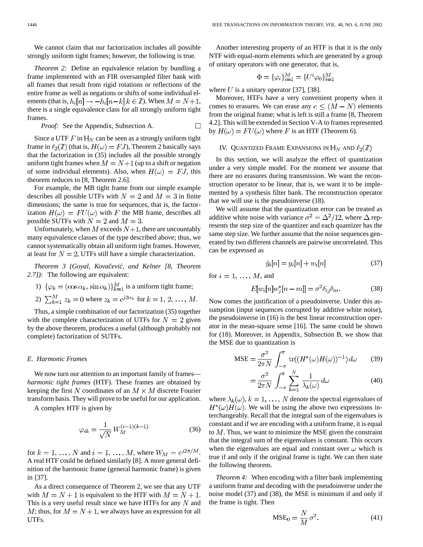We cannot claim that our factorization includes all possible strongly uniform tight frames; however, the following is true.

*Theorem 2:* Define an equivalence relation by bundling a frame implemented with an FIR oversampled filter bank with all frames that result from rigid rotations or reflections of the entire frame as well as negations or shifts of some individual elements (that is,  $h_i[n] \rightarrow -h_i[n-k]$   $k \in \mathbb{Z}$ ). When  $M = N+1$ , there is a single equivalence class for all strongly uniform tight frames.

*Proof:* See the Appendix, Subsection A. 
$$
\Box
$$

Since a UTF F in  $\mathbb{H}_N$  can be seen as a strongly uniform tight frame in  $\ell_2(\mathbb{Z})$  (that is,  $H(\omega) = FJ$ ), Theorem 2 basically says that the factorization in (35) includes all the possible strongly uniform tight frames when  $M = N+1$  (up to a shift or negation of some individual elements). Also, when  $H(\omega) = FJ$ , this theorem reduces to [8, Theorem 2.6].

For example, the MB tight frame from our simple example describes all possible UTFs with  $N = 2$  and  $M = 3$  in finite dimensions; the same is true for sequences, that is, the factorization  $H(\omega) = FU(\omega)$  with F the MB frame, describes all possible SUTFs with  $N = 2$  and  $M = 3$ .

Unfortunately, when M exceeds  $N+1$ , there are uncountably many equivalence classes of the type described above; thus, we cannot systematically obtain all uniform tight frames. However, at least for  $N = 2$ , UTFs still have a simple characterization.

*Theorem 3 (Goyal, Kovacevic ˇ ´, and Kelner [8, Theorem 2.7]):* The following are equivalent:

1)  $\{\varphi_k = (\cos \alpha_k, \sin \alpha_k)\}_{k=1}^M$  is a uniform tight frame;

2) 
$$
\sum_{k=1}^{M} z_k = 0
$$
 where  $z_k = e^{j2\alpha_k}$  for  $k = 1, 2, ..., M$ .

Thus, a simple combination of our factorization (35) together with the complete characterization of UTFs for  $N = 2$  given by the above theorem, produces a useful (although probably not complete) factorization of SUTFs.

#### *E. Harmonic Frames*

We now turn our attention to an important family of frames *harmonic tight frames* (HTF). These frames are obtained by keeping the first N coordinates of an  $M \times M$  discrete Fourier transform basis. They will prove to be useful for our application.

A complex HTF is given by

$$
\varphi_{ik} = \frac{1}{\sqrt{N}} W_M^{(i-1)(k-1)} \tag{36}
$$

for  $k = 1, \ldots, N$  and  $i = 1, \ldots, M$ , where  $W_M = e^{j2\pi/M}$ . A real HTF could be defined similarly [8]. A more general definition of the harmonic frame (general harmonic frame) is given in [37].

As a direct consequence of Theorem 2, we see that any UTF with  $M = N + 1$  is equivalent to the HTF with  $M = N + 1$ . This is a very useful result since we have HTFs for any  $N$  and  $M$ ; thus, for  $M = N + 1$ , we always have an expression for all UTFs.

Another interesting property of an HTF is that it is the only NTF with equal-norm elements which are generated by a group of unitary operators with one generator, that is,

$$
\Phi = \{\varphi_i\}_{i=1}^M = \{U^i \varphi_0\}_{i=1}^M
$$

where U is a unitary operator [37], [38].

Moreover, HTFs have a very convenient property when it comes to erasures. We can erase any  $e \leq (M - N)$  elements from the original frame; what is left is still a frame [8, Theorem 4.2]. This will be extended in Section V-A to frames represented by  $H(\omega) = FU(\omega)$  where F is an HTF (Theorem 6).

# IV. QUANTIZED FRAME EXPANSIONS IN  $\mathbb{H}_N$  and  $\ell_2(\mathbb{Z})$

In this section, we will analyze the effect of quantization under a very simple model. For the moment we assume that there are no erasures during transmission. We want the reconstruction operator to be linear, that is, we want it to be implemented by a synthesis filter bank. The reconstruction operator that we will use is the pseudoinverse (18).

We will assume that the quantization error can be treated as additive white noise with variance  $\sigma^2 = \Delta^2/12$ , where  $\Delta$  represents the step size of the quantizer and each quantizer has the same step size. We further assume that the noise sequences generated by two different channels are pairwise uncorrelated. This can be expressed as

$$
\hat{y}_i[n] = y_i[n] + w_i[n] \tag{37}
$$

for  $i = 1, \ldots, M$ , and

$$
E[w_i[n]w_j^*[n-m]] = \sigma^2 \delta_{ij} \delta_m.
$$
 (38)

Now comes the justification of a pseudoinverse. Under this assumption (input sequences corrupted by additive white noise), the pseudoinverse in (16) is the best linear reconstruction operator in the mean-square sense [16]. The same could be shown for (18). Moreover, in Appendix, Subsection B, we show that the MSE due to quantization is

$$
\text{MSE} = \frac{\sigma^2}{2\pi N} \int_{-\pi}^{\pi} \text{tr}((H^*(\omega)H(\omega))^{-1}) \, d\omega \qquad (39)
$$

$$
=\frac{\sigma^2}{2\pi N}\int_{-\pi}^{\pi}\sum_{k=1}^{N}\frac{1}{\lambda_k(\omega)}d\omega\tag{40}
$$

where  $\lambda_k(\omega)$ ,  $k = 1, ..., N$  denote the spectral eigenvalues of  $H^*(\omega)H(\omega)$ . We will be using the above two expressions interchangeably. Recall that the integral sum of the eigenvalues is constant and if we are encoding with a uniform frame, it is equal to  $M$ . Thus, we want to minimize the MSE given the constraint that the integral sum of the eigenvalues is constant. This occurs when the eigenvalues are equal and constant over  $\omega$  which is true if and only if the original frame is tight. We can then state the following theorem.

*Theorem 4:* When encoding with a filter bank implementing a uniform frame and decoding with the pseudoinverse under the noise model (37) and (38), the MSE is minimum if and only if the frame is tight. Then

$$
MSE_0 = \frac{N}{M} \sigma^2.
$$
 (41)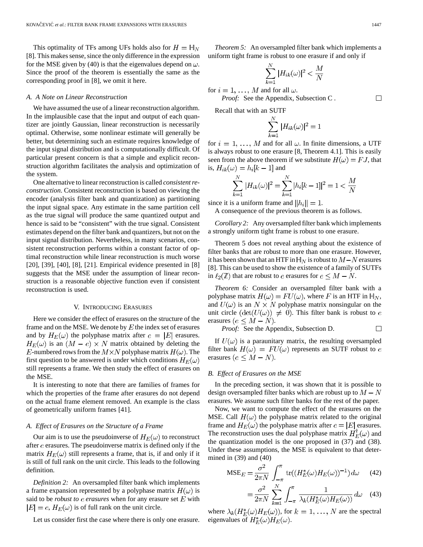This optimality of TFs among UFs holds also for  $H = \mathbb{H}_N$ [8]. This makes sense, since the only difference in the expression for the MSE given by (40) is that the eigenvalues depend on  $\omega$ . Since the proof of the theorem is essentially the same as the corresponding proof in [8], we omit it here.

#### *A. A Note on Linear Reconstruction*

We have assumed the use of a linear reconstruction algorithm. In the implausible case that the input and output of each quantizer are jointly Gaussian, linear reconstruction is necessarily optimal. Otherwise, some nonlinear estimate will generally be better, but determining such an estimate requires knowledge of the input signal distribution and is computationally difficult. Of particular present concern is that a simple and explicit reconstruction algorithm facilitates the analysis and optimization of the system.

One alternative to linear reconstruction is called *consistent reconstruction*. Consistent reconstruction is based on viewing the encoder (analysis filter bank and quantization) as partitioning the input signal space. Any estimate in the same partition cell as the true signal will produce the same quantized output and hence is said to be "consistent" with the true signal. Consistent estimates depend on the filter bank and quantizers, but not on the input signal distribution. Nevertheless, in many scenarios, consistent reconstruction performs within a constant factor of optimal reconstruction while linear reconstruction is much worse [20], [39], [40], [8], [21]. Empirical evidence presented in [8] suggests that the MSE under the assumption of linear reconstruction is a reasonable objective function even if consistent reconstruction is used.

## V. INTRODUCING ERASURES

Here we consider the effect of erasures on the structure of the frame and on the MSE. We denote by  $E$  the index set of erasures and by  $H_E(\omega)$  the polyphase matrix after  $e = |E|$  erasures.  $H_E(\omega)$  is an  $(M - e) \times N$  matrix obtained by deleting the E-numbered rows from the  $M \times N$  polyphase matrix  $H(\omega)$ . The first question to be answered is under which conditions  $H_E(\omega)$ still represents a frame. We then study the effect of erasures on the MSE.

It is interesting to note that there are families of frames for which the properties of the frame after erasures do not depend on the actual frame element removed. An example is the class of geometrically uniform frames [41].

## *A. Effect of Erasures on the Structure of a Frame*

Our aim is to use the pseudoinverse of  $H_E(\omega)$  to reconstruct after  $e$  erasures. The pseudoinverse matrix is defined only if the matrix  $H_E(\omega)$  still represents a frame, that is, if and only if it is still of full rank on the unit circle. This leads to the following definition.

*Definition 2:* An oversampled filter bank which implements a frame expansion represented by a polyphase matrix  $H(\omega)$  is said to be *robust to*  $e$  *erasures* when for any erasure set  $E$  with  $|E| = e$ ,  $H_E(\omega)$  is of full rank on the unit circle.

Let us consider first the case where there is only one erasure.

*Theorem 5:* An oversampled filter bank which implements a uniform tight frame is robust to one erasure if and only if

$$
\sum_{k=1}^{N} |H_{ik}(\omega)|^2 < \frac{M}{N}
$$

for  $i = 1, ..., M$  and for all  $\omega$ . *Proof:* See the Appendix, Subsection C .

Recall that with an SUTF

$$
\sum_{k=1}^{N} |H_{ik}(\omega)|^2 = 1
$$

for  $i = 1, \ldots, M$  and for all  $\omega$ . In finite dimensions, a UTF is always robust to one erasure [8, Theorem 4.1]. This is easily seen from the above theorem if we substitute  $H(\omega) = FJ$ , that is,  $H_{ik}(\omega) = h_i[k-1]$  and

$$
\sum_{k=1}^{N} |H_{ik}(\omega)|^2 = \sum_{k=1}^{N} |h_i[k-1]|^2 = 1 < \frac{M}{N}
$$

since it is a uniform frame and  $||h_i|| = 1$ .

A consequence of the previous theorem is as follows.

*Corollary 2:* Any oversampled filter bank which implements a strongly uniform tight frame is robust to one erasure.

Theorem 5 does not reveal anything about the existence of filter banks that are robust to more than one erasure. However, it has been shown that an HTF in  $\mathbb{H}_N$  is robust to  $M-N$  erasures [8]. This can be used to show the existence of a family of SUTFs in  $\ell_2(\mathbb{Z})$  that are robust to e erasures for  $e \leq M - N$ .

*Theorem 6:* Consider an oversampled filter bank with a polyphase matrix  $H(\omega) = FU(\omega)$ , where F is an HTF in  $\mathbb{H}_N$ , and  $U(\omega)$  is an  $N \times N$  polyphase matrix nonsingular on the unit circle  $(\det(U(\omega)) \neq 0)$ . This filter bank is robust to e erasures ( $e \leq M - N$ ).

*Proof:* See the Appendix, Subsection D.  $\Box$ 

If  $U(\omega)$  is a paraunitary matrix, the resulting oversampled filter bank  $H(\omega) = FU(\omega)$  represents an SUTF robust to e erasures ( $e \leq M - N$ ).

## *B. Effect of Erasures on the MSE*

In the preceding section, it was shown that it is possible to design oversampled filter banks which are robust up to  $M - N$ erasures. We assume such filter banks for the rest of the paper.

Now, we want to compute the effect of the erasures on the MSE. Call  $H(\omega)$  the polyphase matrix related to the original frame and  $H_E(\omega)$  the polyphase matrix after  $e = |E|$  erasures. The reconstruction uses the dual polyphase matrix  $H_{E}^{T}(\omega)$  and the quantization model is the one proposed in (37) and (38). Under these assumptions, the MSE is equivalent to that determined in (39) and (40)

$$
\text{MSE}_E = \frac{\sigma^2}{2\pi N} \int_{-\pi}^{\pi} \text{tr}((H_E^*(\omega)H_E(\omega))^{-1}) d\omega \qquad (42)
$$

$$
= \frac{\sigma^2}{2\pi N} \sum_{k=1}^N \int_{-\pi}^{\pi} \frac{1}{\lambda_k (H_E^*(\omega) H_E(\omega))} d\omega \quad (43)
$$

where  $\lambda_k(H_E^*(\omega)H_E(\omega))$ , for  $k = 1, ..., N$  are the spectral eigenvalues of  $H_E^*(\omega)H_E(\omega)$ .

 $\Box$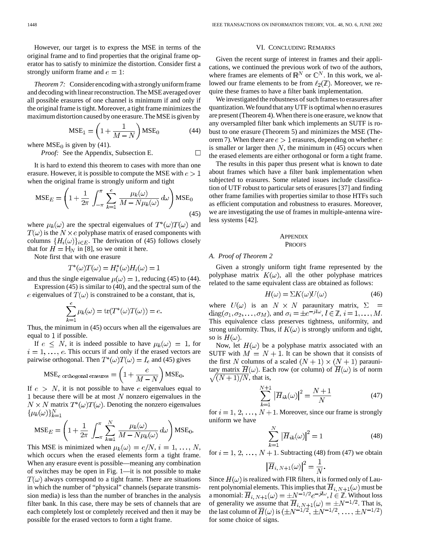However, our target is to express the MSE in terms of the original frame and to find properties that the original frame operator has to satisfy to minimize the distortion. Consider first a strongly uniform frame and  $e = 1$ :

*Theorem 7:* Considerencoding with a strongly uniform frame and decoding with linear reconstruction. The MSE averaged over all possible erasures of one channel is minimum if and only if the original frame is tight. Moreover, a tight frame minimizes the maximum distortion caused by one erasure. The MSE is given by

$$
MSE_1 = \left(1 + \frac{1}{M - N}\right) MSE_0 \tag{44}
$$

where  $MSE_0$  is given by (41).

*Proof:* See the Appendix, Subsection E.

It is hard to extend this theorem to cases with more than one erasure. However, it is possible to compute the MSE with  $e > 1$ when the original frame is strongly uniform and tight

$$
\text{MSE}_E = \left(1 + \frac{1}{2\pi} \int_{-\pi}^{\pi} \sum_{k=1}^{e} \frac{\mu_k(\omega)}{M - N\mu_k(\omega)} d\omega \right) \text{MSE}_0
$$
\n(45)

where  $\mu_k(\omega)$  are the spectral eigenvalues of  $T^*(\omega)T(\omega)$  and  $T(\omega)$  is the  $N \times e$  polyphase matrix of erased components with columns  $\{H_i(\omega)\}_{i \in E}$ . The derivation of (45) follows closely that for  $H = \mathbb{H}_N$  in [8], so we omit it here.

Note first that with one erasure

$$
T^*(\omega)T(\omega) = H_i^*(\omega)H_i(\omega) = 1
$$

and thus the single eigenvalue  $\mu(\omega) = 1$ , reducing (45) to (44). Expression (45) is similar to (40), and the spectral sum of the

e eigenvalues of  $T(\omega)$  is constrained to be a constant, that is,

$$
\sum_{k=1}^{c} \mu_k(\omega) = \text{tr}(T^*(\omega)T(\omega)) = e
$$

Thus, the minimum in (45) occurs when all the eigenvalues are equal to  $1$  if possible.

If  $e \leq N$ , it is indeed possible to have  $\mu_k(\omega) = 1$ , for  $i = 1, \ldots, e$ . This occurs if and only if the erased vectors are pairwise orthogonal. Then  $T^*(\omega)T(\omega)=I_e$  and (45) gives

$$
\text{MSE}_{e \text{ orthogonal erasures}} = \left(1 + \frac{e}{M - N}\right) \text{MSE}_{0}.
$$

If  $e > N$ , it is not possible to have e eigenvalues equal to 1 because there will be at most  $N$  nonzero eigenvalues in the  $N \times N$  matrix  $T^*(\omega)T(\omega)$ . Denoting the nonzero eigenvalues  $\{\mu_k(\omega)\}_{k=1}^N$ 

$$
\text{MSE}_E = \left(1 + \frac{1}{2\pi} \int_{-\pi}^{\pi} \sum_{k=1}^{N} \frac{\mu_k(\omega)}{M - N\mu_k(\omega)} d\omega \right) \text{MSE}_0.
$$

This MSE is minimized when  $\mu_k(\omega) = e/N$ ,  $i = 1, ..., N$ , which occurs when the erased elements form a tight frame. When any erasure event is possible—meaning any combination of switches may be open in Fig. 1—it is not possible to make  $T(\omega)$  always correspond to a tight frame. There are situations in which the number of "physical" channels (separate transmission media) is less than the number of branches in the analysis filter bank. In this case, there may be sets of channels that are each completely lost or completely received and then it may be possible for the erased vectors to form a tight frame.

## VI. CONCLUDING REMARKS

Given the recent surge of interest in frames and their applications, we continued the previous work of two of the authors, where frames are elements of  $\mathbb{R}^N$  or  $\mathbb{C}^N$ . In this work, we allowed our frame elements to be from  $\ell_2(\mathbb{Z})$ . Moreover, we require these frames to have a filter bank implementation.

We investigated the robustness of such frames to erasures after quantization. We found that any UTF is optimal when no erasures are present (Theorem 4). When there is one erasure, we know that any oversampled filter bank which implements an SUTF is robust to one erasure (Theorem 5) and minimizes the MSE (Theorem 7). When there are  $e > 1$  erasures, depending on whether  $e$ is smaller or larger then  $N$ , the minimum in (45) occurs when the erased elements are either orthogonal or form a tight frame.

The results in this paper thus present what is known to date about frames which have a filter bank implementation when subjected to erasures. Some related issues include classification of UTF robust to particular sets of erasures [37] and finding other frame families with properties similar to those HTFs such as efficient computation and robustness to erasures. Moreover, we are investigating the use of frames in multiple-antenna wireless systems [42].

# **APPENDIX** PROOFS

#### *A. Proof of Theorem 2*

 $\Box$ 

Given a strongly uniform tight frame represented by the polyphase matrix  $K(\omega)$ , all the other polyphase matrices related to the same equivalent class are obtained as follows:

$$
H(\omega) = \Sigma K(\omega)U(\omega) \tag{46}
$$

where  $U(\omega)$  is an  $N \times N$  paraunitary matrix,  $\Sigma$  =  $diag(\sigma_1, \sigma_2, \ldots, \sigma_M)$ , and  $\sigma_i = \pm e^{-jl\omega}, l \in \mathbb{Z}, i = 1, \ldots, M$ . This equivalence class preserves tightness, uniformity, and strong uniformity. Thus, if  $K(\omega)$  is strongly uniform and tight, so is  $H(\omega)$ .

Now, let  $H(\omega)$  be a polyphase matrix associated with an SUTF with  $M = N + 1$ . It can be shown that it consists of the first N columns of a scaled  $(N + 1) \times (N + 1)$  paraunitary matrix  $\overline{H}(\omega)$ . Each row (or column) of  $\overline{H}(\omega)$  is of norm  $\sqrt{(N+1)/N}$ , that is,

$$
\sum_{k=1}^{N+1} |\overline{H}_{ik}(\omega)|^2 = \frac{N+1}{N}
$$
 (47)

for  $i = 1, 2, ..., N+1$ . Moreover, since our frame is strongly uniform we have

$$
\sum_{k=1}^{N} \left| \overline{H}_{ik}(\omega) \right|^2 = 1 \tag{48}
$$

for  $i = 1, 2, ..., N + 1$ . Subtracting (48) from (47) we obtain

$$
\left|\overline{H}_{i,N+1}(\omega)\right|^2=\frac{1}{N}.
$$

Since  $H(\omega)$  is realized with FIR filters, it is formed only of Laurent polynomial elements. This implies that  $\overline{H}_{i, N+1}(\omega)$  must be a monomial:  $H_{i, N+1}(\omega) = \pm N^{-1/2} e^{-j\omega}, l \in \mathbb{Z}$ . Without loss of generality we assume that  $H_{i, N+1}(\omega) = \pm N^{-1/2}$ . That is, the last column of  $H(\omega)$  is for some choice of signs.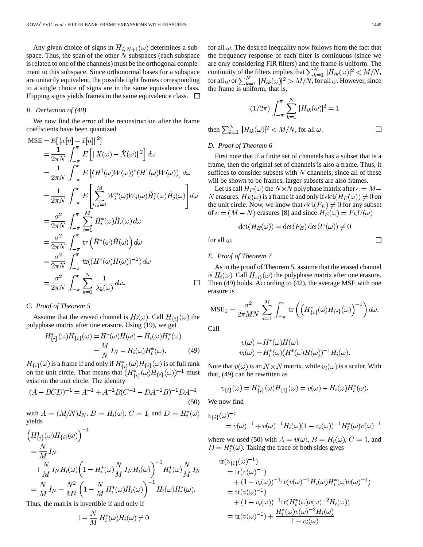Any given choice of signs in  $\overline{H}_{i, N+1}(\omega)$  determines a subspace. Thus, the span of the other  $N$  subspaces (each subspace is related to one of the channels) must be the orthogonal complement to this subspace. Since orthonormal bases for a subspace are unitarily equivalent, the possible tight frames corresponding to a single choice of signs are in the same equivalence class. Flipping signs yields frames in the same equivalence class.  $\Box$ 

## *B. Derivation of (40)*

We now find the error of the reconstruction after the frame coefficients have been quantized

$$
MSE = E[||x[n] - \hat{x}[n]||^{2}]
$$
  
\n
$$
= \frac{1}{2\pi N} \int_{-\pi}^{\pi} E[||X(\omega) - \hat{X}(\omega)||^{2}] d\omega
$$
  
\n
$$
= \frac{1}{2\pi N} \int_{-\pi}^{\pi} E[(H^{\dagger}(\omega)W(\omega))^{*}(H^{\dagger}(\omega)W(\omega))] d\omega
$$
  
\n
$$
= \frac{1}{2\pi N} \int_{-\pi}^{\pi} E\left[\sum_{i,j=1}^{M} W_{i}^{*}(\omega)W_{j}(\omega)\tilde{H}_{i}^{*}(\omega)\tilde{H}_{j}(\omega)\right] d\omega
$$
  
\n
$$
= \frac{\sigma^{2}}{2\pi N} \int_{-\pi}^{\pi} \sum_{i=1}^{M} \tilde{H}_{i}^{*}(\omega)\tilde{H}_{i}(\omega) d\omega
$$
  
\n
$$
= \frac{\sigma^{2}}{2\pi N} \int_{-\pi}^{\pi} tr(\tilde{H}^{*}(\omega)\tilde{H}(\omega)) d\omega
$$
  
\n
$$
= \frac{\sigma^{2}}{2\pi N} \int_{-\pi}^{\pi} tr((H^{*}(\omega)H(\omega))^{-1}) d\omega
$$
  
\n
$$
= \frac{\sigma^{2}}{2\pi N} \int_{-\pi}^{\pi} \sum_{k=1}^{N} \frac{1}{\lambda_{k}(\omega)} d\omega.
$$

## *C. Proof of Theorem 5*

Assume that the erased channel is  $H_i(\omega)$ . Call  $H_{\{i\}}(\omega)$  the polyphase matrix after one erasure. Using (19), we get

$$
H_{\{i\}}^*(\omega)H_{\{i\}}(\omega) = H^*(\omega)H(\omega) - H_i(\omega)H_i^*(\omega)
$$

$$
= \frac{M}{N}I_N - H_i(\omega)H_i^*(\omega). \tag{49}
$$

 $H_{\{i\}}(\omega)$  is a frame if and only if  $H_{\{i\}}^*(\omega)H_{\{i\}}(\omega)$  is of full rank on the unit circle. That means that  $(H_{\{i\}}^*(\omega)H_{\{i\}}(\omega))^{-1}$  must exist on the unit circle. The identity

$$
(A - BCD)^{-1} = A^{-1} + A^{-1}B(C^{-1} - DA^{-1}B)^{-1}DA^{-1}
$$
\n(50)

with  $A = (M/N)I_N$ ,  $B = H_i(\omega)$ ,  $C = 1$ , and  $D = H_i^*(\omega)$ yields

$$
\begin{aligned}\n\left(H_{\{i\}}^*(\omega)H_{\{i\}}(\omega)\right)^{-1} \\
&= \frac{N}{M}I_N \\
&+ \frac{N}{M}I_NH_i(\omega)\left(1 - H_i^*(\omega)\frac{N}{M}I_NH_i(\omega)\right)^{-1}H_i^*(\omega)\frac{N}{M}I_N \\
&= \frac{N}{M}I_N + \frac{N^2}{M^2}\left(1 - \frac{N}{M}H_i^*(\omega)H_i(\omega)\right)^{-1}H_i(\omega)H_i^*(\omega).\n\end{aligned}
$$

Thus, the matrix is invertible if and only if

$$
1 - \frac{N}{M} H_i^*(\omega) H_i(\omega) \neq 0
$$

for all  $\omega$ . The desired inequality now follows from the fact that the frequency response of each filter is continuous (since we are only considering FIR filters) and the frame is uniform. The continuity of the filters implies that  $\sum_{k=1}^{N} |H_{ik}(\omega)|^2 < M/N$ , for all  $\omega$  or  $\sum_{k=1}^{N} |H_{ik}(\omega)|^2 > M/N$ , for all  $\omega$ . However, since the frame is uniform, that is,

$$
(1/2\pi) \int_{-\pi}^{\pi} \sum_{k=1}^{N} |H_{ik}(\omega)|^2 = 1
$$
  
then  $\sum_{k=1}^{N} |H_{ik}(\omega)|^2 < M/N$ , for all  $\omega$ .

# *D. Proof of Theorem 6*

First note that if a finite set of channels has a subset that is a frame, then the original set of channels is also a frame. Thus, it suffices to consider subsets with  $N$  channels; since all of these will be shown to be frames, larger subsets are also frames.

Let us call  $H_E(\omega)$  the  $N \times N$  polyphase matrix after  $e = M -$ N erasures.  $H_E(\omega)$  is a frame if and only if  $\det(H_E(\omega)) \neq 0$  on the unit circle. Now, we know that  $\det(F_E) \neq 0$  for any subset of  $e = (M - N)$  erasures [8] and since  $H_E(\omega) = F_E U(\omega)$ 

$$
\det(H_E(\omega)) = \det(F_E)\det(U(\omega)) \neq 0
$$

for all  $\omega$ .

# *E. Proof of Theorem 7*

As in the proof of Theorem 5, assume that the erased channel is  $H_i(\omega)$ . Call  $H_{\{i\}}(\omega)$  the polyphase matrix after one erasure. Then (49) holds. According to (42), the average MSE with one erasure is

$$
MSE_1 = \frac{\sigma^2}{2\pi MN} \sum_{i=1}^M \int_{-\pi}^{\pi} tr\left(\left(H_{\{i\}}^*(\omega)H_{\{i\}}(\omega)\right)^{-1}\right) d\omega.
$$

Call

$$
v(\omega) = H^*(\omega)H(\omega)
$$
  

$$
v_i(\omega) = H_i^*(\omega)(H^*(\omega)H(\omega))^{-1}H_i(\omega)
$$

Note that  $v(\omega)$  is an  $N \times N$  matrix, while  $v_i(\omega)$  is a scalar. With that, (49) can be rewritten as

$$
v_{\{i\}}(\omega) = H_{\{i\}}^*(\omega)H_{\{i\}}(\omega) = v(\omega) - H_i(\omega)H_i^*(\omega).
$$

We now find

$$
v_{\{i\}}(\omega)^{-1} = v(\omega)^{-1} + v(\omega)^{-1}H_i(\omega)(1 - v_i(\omega))^{-1}H_i^*(\omega)v(\omega)^{-1}
$$

where we used (50) with  $A = v(\omega)$ ,  $B = H_i(\omega)$ ,  $C = 1$ , and  $D = H_i^*(\omega)$ . Taking the trace of both sides gives

tr
$$
(v_{\{i\}}(\omega)^{-1})
$$
  
= tr $(v(\omega)^{-1})$   
+  $(1 - v_i(\omega))^{-1}$ tr $(v(\omega)^{-1}H_i(\omega)H_i^*(\omega)v(\omega)^{-1})$   
= tr $(v(\omega)^{-1})$   
+  $(1 - v_i(\omega))^{-1}$ tr $(H_i^*(\omega)v(\omega)^{-2}H_i(\omega))$   
= tr $(v(\omega)^{-1}) + \frac{H_i^*(\omega)v(\omega)^{-2}H_i(\omega)}{1 - v_i(\omega)}$ 

 $\Box$